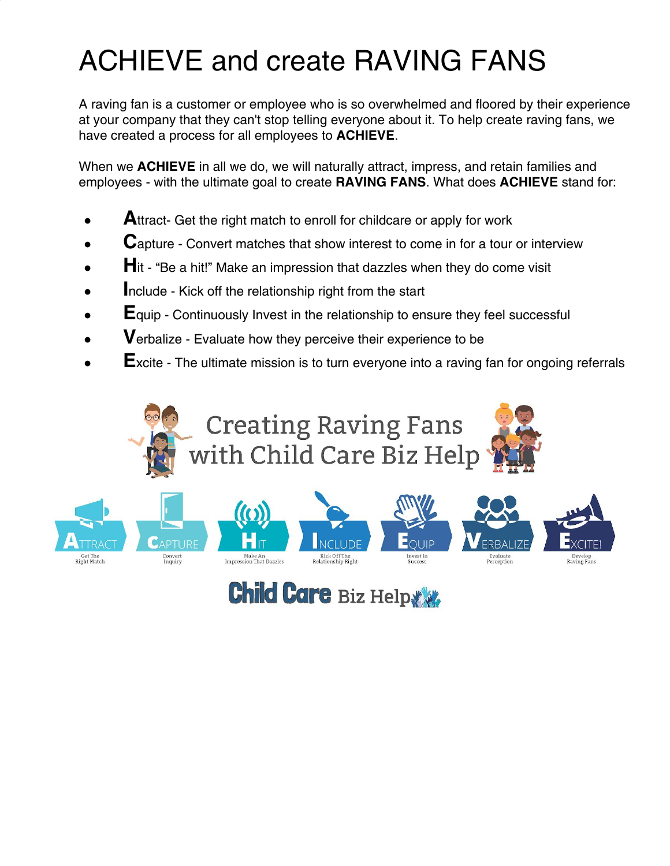## ACHIEVE and create RAVING FANS

A raving fan is a customer or employee who is so overwhelmed and floored by their experience at your company that they can't stop telling everyone about it. To help create raving fans, we have created a process for all employees to **ACHIEVE**.

When we **ACHIEVE** in all we do, we will naturally attract, impress, and retain families and employees - with the ultimate goal to create **RAVING FANS**. What does **ACHIEVE** stand for:

- Attract- Get the right match to enroll for childcare or apply for work
- Capture Convert matches that show interest to come in for a tour or interview
- **H**<sub>it</sub> "Be a hit!" Make an impression that dazzles when they do come visit
- **Include Kick off the relationship right from the start**
- **E**quip Continuously Invest in the relationship to ensure they feel successful
- **V**erbalize Evaluate how they perceive their experience to be
- **Excite The ultimate mission is to turn everyone into a raving fan for ongoing referrals**





**Child Care Biz Help &**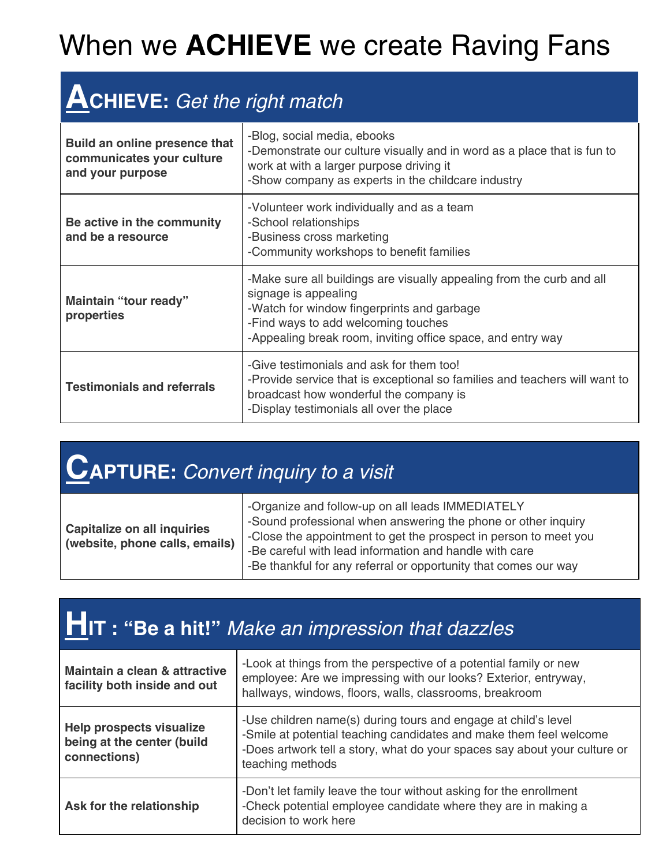## When we **ACHIEVE** we create Raving Fans

#### **ACHIEVE:** Get the right match

| Build an online presence that<br>communicates your culture<br>and your purpose | -Blog, social media, ebooks<br>-Demonstrate our culture visually and in word as a place that is fun to<br>work at with a larger purpose driving it<br>-Show company as experts in the childcare industry                                          |
|--------------------------------------------------------------------------------|---------------------------------------------------------------------------------------------------------------------------------------------------------------------------------------------------------------------------------------------------|
| Be active in the community<br>and be a resource                                | -Volunteer work individually and as a team<br>-School relationships<br>-Business cross marketing<br>-Community workshops to benefit families                                                                                                      |
| Maintain "tour ready"<br>properties                                            | -Make sure all buildings are visually appealing from the curb and all<br>signage is appealing<br>-Watch for window fingerprints and garbage<br>-Find ways to add welcoming touches<br>-Appealing break room, inviting office space, and entry way |
| <b>Testimonials and referrals</b>                                              | -Give testimonials and ask for them too!<br>-Provide service that is exceptional so families and teachers will want to<br>broadcast how wonderful the company is<br>-Display testimonials all over the place                                      |

### **CAPTURE:** Convert inquiry to <sup>a</sup> visit

| <b>Capitalize on all inquiries</b><br>(website, phone calls, emails) | -Organize and follow-up on all leads IMMEDIATELY<br>-Sound professional when answering the phone or other inquiry<br>-Close the appointment to get the prospect in person to meet you<br>-Be careful with lead information and handle with care<br>-Be thankful for any referral or opportunity that comes our way |
|----------------------------------------------------------------------|--------------------------------------------------------------------------------------------------------------------------------------------------------------------------------------------------------------------------------------------------------------------------------------------------------------------|
|----------------------------------------------------------------------|--------------------------------------------------------------------------------------------------------------------------------------------------------------------------------------------------------------------------------------------------------------------------------------------------------------------|

| <b>HIT: "Be a hit!"</b> Make an impression that dazzles                       |                                                                                                                                                                                                                                       |  |
|-------------------------------------------------------------------------------|---------------------------------------------------------------------------------------------------------------------------------------------------------------------------------------------------------------------------------------|--|
| Maintain a clean & attractive<br>facility both inside and out                 | -Look at things from the perspective of a potential family or new<br>employee: Are we impressing with our looks? Exterior, entryway,<br>hallways, windows, floors, walls, classrooms, breakroom                                       |  |
| <b>Help prospects visualize</b><br>being at the center (build<br>connections) | -Use children name(s) during tours and engage at child's level<br>-Smile at potential teaching candidates and make them feel welcome<br>-Does artwork tell a story, what do your spaces say about your culture or<br>teaching methods |  |
| Ask for the relationship                                                      | -Don't let family leave the tour without asking for the enrollment<br>-Check potential employee candidate where they are in making a<br>decision to work here                                                                         |  |